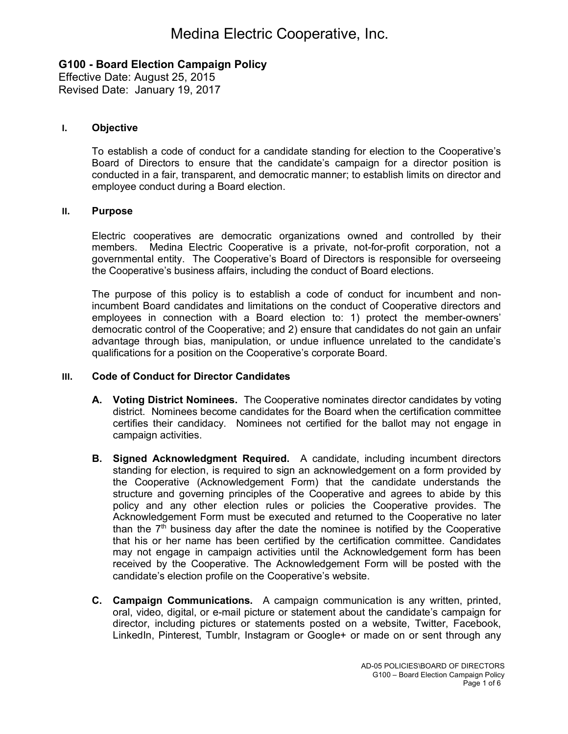# **G100 - Board Election Campaign Policy**

Effective Date: August 25, 2015 Revised Date: January 19, 2017

## **I. Objective**

To establish a code of conduct for a candidate standing for election to the Cooperative's Board of Directors to ensure that the candidate's campaign for a director position is conducted in a fair, transparent, and democratic manner; to establish limits on director and employee conduct during a Board election.

### **II. Purpose**

Electric cooperatives are democratic organizations owned and controlled by their members. Medina Electric Cooperative is a private, not-for-profit corporation, not a governmental entity. The Cooperative's Board of Directors is responsible for overseeing the Cooperative's business affairs, including the conduct of Board elections.

The purpose of this policy is to establish a code of conduct for incumbent and nonincumbent Board candidates and limitations on the conduct of Cooperative directors and employees in connection with a Board election to: 1) protect the member-owners' democratic control of the Cooperative; and 2) ensure that candidates do not gain an unfair advantage through bias, manipulation, or undue influence unrelated to the candidate's qualifications for a position on the Cooperative's corporate Board.

## **III. Code of Conduct for Director Candidates**

- **A. Voting District Nominees.** The Cooperative nominates director candidates by voting district. Nominees become candidates for the Board when the certification committee certifies their candidacy. Nominees not certified for the ballot may not engage in campaign activities.
- **B. Signed Acknowledgment Required.** A candidate, including incumbent directors standing for election, is required to sign an acknowledgement on a form provided by the Cooperative (Acknowledgement Form) that the candidate understands the structure and governing principles of the Cooperative and agrees to abide by this policy and any other election rules or policies the Cooperative provides. The Acknowledgement Form must be executed and returned to the Cooperative no later than the  $7<sup>th</sup>$  business day after the date the nominee is notified by the Cooperative that his or her name has been certified by the certification committee. Candidates may not engage in campaign activities until the Acknowledgement form has been received by the Cooperative. The Acknowledgement Form will be posted with the candidate's election profile on the Cooperative's website.
- **C. Campaign Communications.** A campaign communication is any written, printed, oral, video, digital, or e-mail picture or statement about the candidate's campaign for director, including pictures or statements posted on a website, Twitter, Facebook, LinkedIn, Pinterest, Tumblr, Instagram or Google+ or made on or sent through any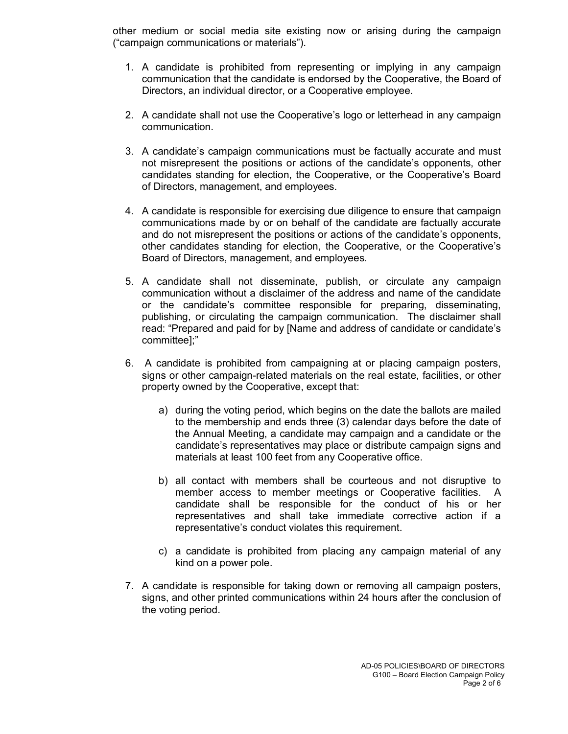other medium or social media site existing now or arising during the campaign ("campaign communications or materials").

- 1. A candidate is prohibited from representing or implying in any campaign communication that the candidate is endorsed by the Cooperative, the Board of Directors, an individual director, or a Cooperative employee.
- 2. A candidate shall not use the Cooperative's logo or letterhead in any campaign communication.
- 3. A candidate's campaign communications must be factually accurate and must not misrepresent the positions or actions of the candidate's opponents, other candidates standing for election, the Cooperative, or the Cooperative's Board of Directors, management, and employees.
- 4. A candidate is responsible for exercising due diligence to ensure that campaign communications made by or on behalf of the candidate are factually accurate and do not misrepresent the positions or actions of the candidate's opponents, other candidates standing for election, the Cooperative, or the Cooperative's Board of Directors, management, and employees.
- 5. A candidate shall not disseminate, publish, or circulate any campaign communication without a disclaimer of the address and name of the candidate or the candidate's committee responsible for preparing, disseminating, publishing, or circulating the campaign communication. The disclaimer shall read: "Prepared and paid for by [Name and address of candidate or candidate's committee];"
- 6. A candidate is prohibited from campaigning at or placing campaign posters, signs or other campaign-related materials on the real estate, facilities, or other property owned by the Cooperative, except that:
	- a) during the voting period, which begins on the date the ballots are mailed to the membership and ends three (3) calendar days before the date of the Annual Meeting, a candidate may campaign and a candidate or the candidate's representatives may place or distribute campaign signs and materials at least 100 feet from any Cooperative office.
	- b) all contact with members shall be courteous and not disruptive to member access to member meetings or Cooperative facilities. A candidate shall be responsible for the conduct of his or her representatives and shall take immediate corrective action if a representative's conduct violates this requirement.
	- c) a candidate is prohibited from placing any campaign material of any kind on a power pole.
- 7. A candidate is responsible for taking down or removing all campaign posters, signs, and other printed communications within 24 hours after the conclusion of the voting period.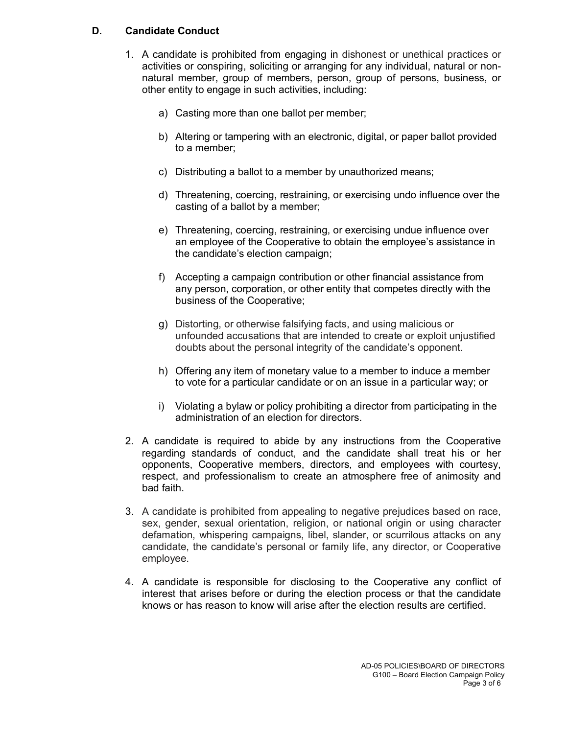# **D. Candidate Conduct**

- 1. A candidate is prohibited from engaging in dishonest or unethical practices or activities or conspiring, soliciting or arranging for any individual, natural or nonnatural member, group of members, person, group of persons, business, or other entity to engage in such activities, including:
	- a) Casting more than one ballot per member;
	- b) Altering or tampering with an electronic, digital, or paper ballot provided to a member;
	- c) Distributing a ballot to a member by unauthorized means;
	- d) Threatening, coercing, restraining, or exercising undo influence over the casting of a ballot by a member;
	- e) Threatening, coercing, restraining, or exercising undue influence over an employee of the Cooperative to obtain the employee's assistance in the candidate's election campaign;
	- f) Accepting a campaign contribution or other financial assistance from any person, corporation, or other entity that competes directly with the business of the Cooperative;
	- g) Distorting, or otherwise falsifying facts, and using malicious or unfounded accusations that are intended to create or exploit unjustified doubts about the personal integrity of the candidate's opponent.
	- h) Offering any item of monetary value to a member to induce a member to vote for a particular candidate or on an issue in a particular way; or
	- i) Violating a bylaw or policy prohibiting a director from participating in the administration of an election for directors.
- 2. A candidate is required to abide by any instructions from the Cooperative regarding standards of conduct, and the candidate shall treat his or her opponents, Cooperative members, directors, and employees with courtesy, respect, and professionalism to create an atmosphere free of animosity and bad faith.
- 3. A candidate is prohibited from appealing to negative prejudices based on race, sex, gender, sexual orientation, religion, or national origin or using character defamation, whispering campaigns, libel, slander, or scurrilous attacks on any candidate, the candidate's personal or family life, any director, or Cooperative employee.
- 4. A candidate is responsible for disclosing to the Cooperative any conflict of interest that arises before or during the election process or that the candidate knows or has reason to know will arise after the election results are certified.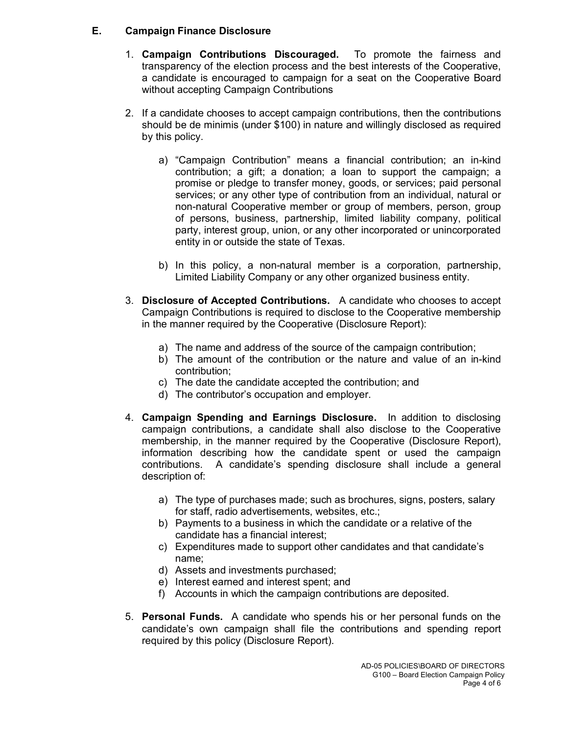# **E. Campaign Finance Disclosure**

- 1. **Campaign Contributions Discouraged.** To promote the fairness and transparency of the election process and the best interests of the Cooperative, a candidate is encouraged to campaign for a seat on the Cooperative Board without accepting Campaign Contributions
- 2. If a candidate chooses to accept campaign contributions, then the contributions should be de minimis (under \$100) in nature and willingly disclosed as required by this policy.
	- a) "Campaign Contribution" means a financial contribution; an in-kind contribution; a gift; a donation; a loan to support the campaign; a promise or pledge to transfer money, goods, or services; paid personal services; or any other type of contribution from an individual, natural or non-natural Cooperative member or group of members, person, group of persons, business, partnership, limited liability company, political party, interest group, union, or any other incorporated or unincorporated entity in or outside the state of Texas.
	- b) In this policy, a non-natural member is a corporation, partnership, Limited Liability Company or any other organized business entity.
- 3. **Disclosure of Accepted Contributions.** A candidate who chooses to accept Campaign Contributions is required to disclose to the Cooperative membership in the manner required by the Cooperative (Disclosure Report):
	- a) The name and address of the source of the campaign contribution;
	- b) The amount of the contribution or the nature and value of an in-kind contribution;
	- c) The date the candidate accepted the contribution; and
	- d) The contributor's occupation and employer.
- 4. **Campaign Spending and Earnings Disclosure.** In addition to disclosing campaign contributions, a candidate shall also disclose to the Cooperative membership, in the manner required by the Cooperative (Disclosure Report), information describing how the candidate spent or used the campaign contributions. A candidate's spending disclosure shall include a general description of:
	- a) The type of purchases made; such as brochures, signs, posters, salary for staff, radio advertisements, websites, etc.;
	- b) Payments to a business in which the candidate or a relative of the candidate has a financial interest;
	- c) Expenditures made to support other candidates and that candidate's name;
	- d) Assets and investments purchased;
	- e) Interest earned and interest spent; and
	- f) Accounts in which the campaign contributions are deposited.
- 5. **Personal Funds.** A candidate who spends his or her personal funds on the candidate's own campaign shall file the contributions and spending report required by this policy (Disclosure Report).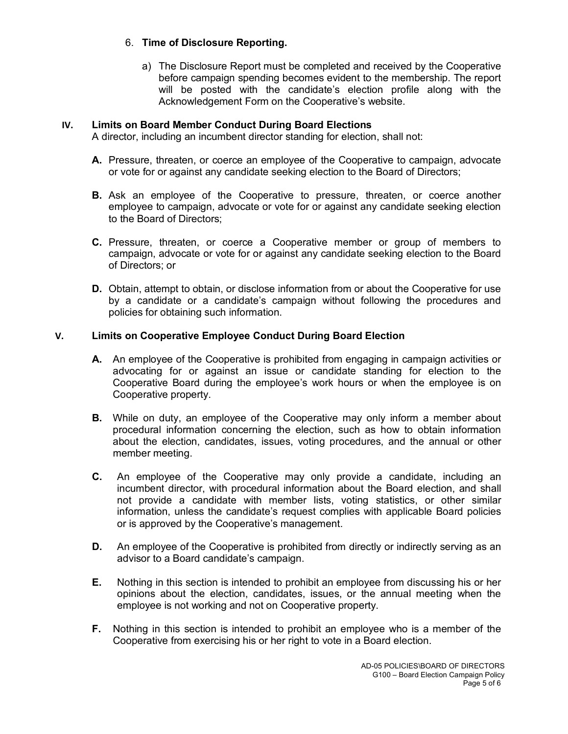# 6. **Time of Disclosure Reporting.**

a) The Disclosure Report must be completed and received by the Cooperative before campaign spending becomes evident to the membership. The report will be posted with the candidate's election profile along with the Acknowledgement Form on the Cooperative's website.

# **IV. Limits on Board Member Conduct During Board Elections**

A director, including an incumbent director standing for election, shall not:

- **A.** Pressure, threaten, or coerce an employee of the Cooperative to campaign, advocate or vote for or against any candidate seeking election to the Board of Directors;
- **B.** Ask an employee of the Cooperative to pressure, threaten, or coerce another employee to campaign, advocate or vote for or against any candidate seeking election to the Board of Directors;
- **C.** Pressure, threaten, or coerce a Cooperative member or group of members to campaign, advocate or vote for or against any candidate seeking election to the Board of Directors; or
- **D.** Obtain, attempt to obtain, or disclose information from or about the Cooperative for use by a candidate or a candidate's campaign without following the procedures and policies for obtaining such information.

# **V. Limits on Cooperative Employee Conduct During Board Election**

- **A.** An employee of the Cooperative is prohibited from engaging in campaign activities or advocating for or against an issue or candidate standing for election to the Cooperative Board during the employee's work hours or when the employee is on Cooperative property.
- **B.** While on duty, an employee of the Cooperative may only inform a member about procedural information concerning the election, such as how to obtain information about the election, candidates, issues, voting procedures, and the annual or other member meeting.
- **C.** An employee of the Cooperative may only provide a candidate, including an incumbent director, with procedural information about the Board election, and shall not provide a candidate with member lists, voting statistics, or other similar information, unless the candidate's request complies with applicable Board policies or is approved by the Cooperative's management.
- **D.** An employee of the Cooperative is prohibited from directly or indirectly serving as an advisor to a Board candidate's campaign.
- **E.** Nothing in this section is intended to prohibit an employee from discussing his or her opinions about the election, candidates, issues, or the annual meeting when the employee is not working and not on Cooperative property.
- **F.** Nothing in this section is intended to prohibit an employee who is a member of the Cooperative from exercising his or her right to vote in a Board election.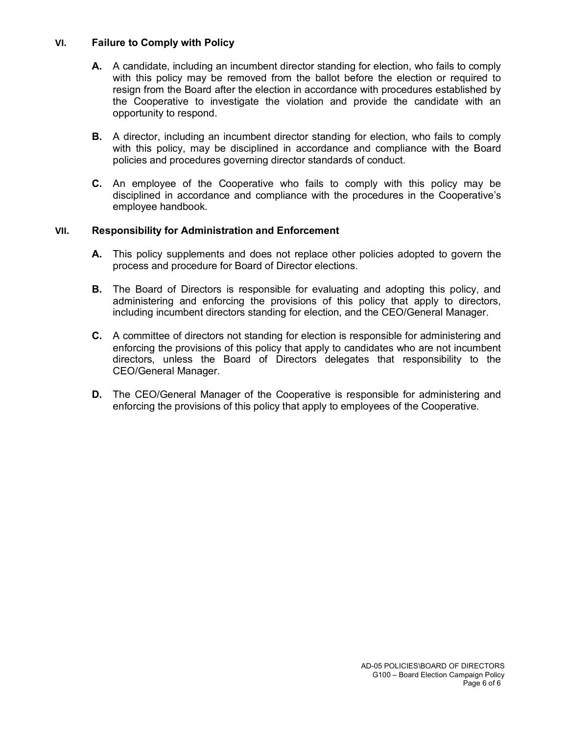## **VI. Failure to Comply with Policy**

- **A.** A candidate, including an incumbent director standing for election, who fails to comply with this policy may be removed from the ballot before the election or required to resign from the Board after the election in accordance with procedures established by the Cooperative to investigate the violation and provide the candidate with an opportunity to respond.
- **B.** A director, including an incumbent director standing for election, who fails to comply with this policy, may be disciplined in accordance and compliance with the Board policies and procedures governing director standards of conduct.
- **C.** An employee of the Cooperative who fails to comply with this policy may be disciplined in accordance and compliance with the procedures in the Cooperative's employee handbook.

# **VII. Responsibility for Administration and Enforcement**

- **A.** This policy supplements and does not replace other policies adopted to govern the process and procedure for Board of Director elections.
- **B.** The Board of Directors is responsible for evaluating and adopting this policy, and administering and enforcing the provisions of this policy that apply to directors, including incumbent directors standing for election, and the CEO/General Manager.
- **C.** A committee of directors not standing for election is responsible for administering and enforcing the provisions of this policy that apply to candidates who are not incumbent directors, unless the Board of Directors delegates that responsibility to the CEO/General Manager.
- **D.** The CEO/General Manager of the Cooperative is responsible for administering and enforcing the provisions of this policy that apply to employees of the Cooperative.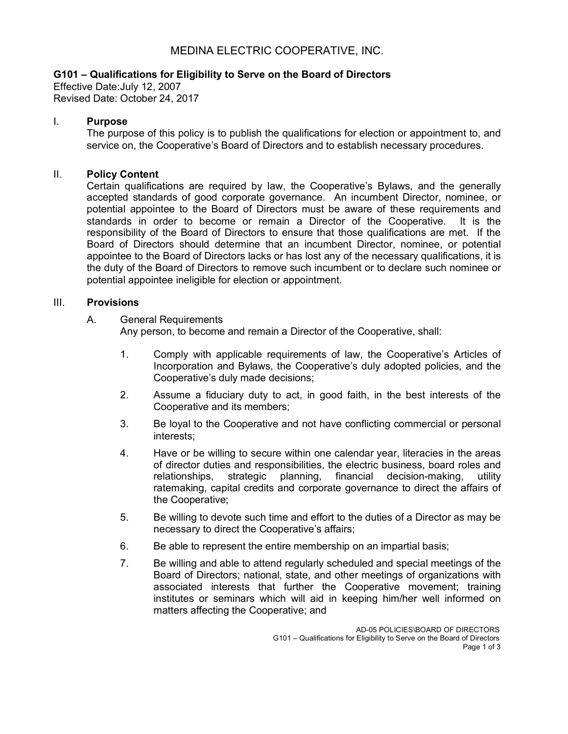## **G101 – Qualifications for Eligibility to Serve on the Board of Directors**

Effective Date:July 12, 2007 Revised Date: October 24, 2017

## I. **Purpose**

The purpose of this policy is to publish the qualifications for election or appointment to, and service on, the Cooperative's Board of Directors and to establish necessary procedures.

### II. **Policy Content**

Certain qualifications are required by law, the Cooperative's Bylaws, and the generally accepted standards of good corporate governance. An incumbent Director, nominee, or potential appointee to the Board of Directors must be aware of these requirements and standards in order to become or remain a Director of the Cooperative. It is the responsibility of the Board of Directors to ensure that those qualifications are met. If the Board of Directors should determine that an incumbent Director, nominee, or potential appointee to the Board of Directors lacks or has lost any of the necessary qualifications, it is the duty of the Board of Directors to remove such incumbent or to declare such nominee or potential appointee ineligible for election or appointment.

#### III. **Provisions**

A. General Requirements

Any person, to become and remain a Director of the Cooperative, shall:

- 1. Comply with applicable requirements of law, the Cooperative's Articles of Incorporation and Bylaws, the Cooperative's duly adopted policies, and the Cooperative's duly made decisions;
- 2. Assume a fiduciary duty to act, in good faith, in the best interests of the Cooperative and its members;
- 3. Be loyal to the Cooperative and not have conflicting commercial or personal interests;
- 4. Have or be willing to secure within one calendar year, literacies in the areas of director duties and responsibilities, the electric business, board roles and relationships, strategic planning, financial decision-making, utility ratemaking, capital credits and corporate governance to direct the affairs of the Cooperative;
- 5. Be willing to devote such time and effort to the duties of a Director as may be necessary to direct the Cooperative's affairs;
- 6. Be able to represent the entire membership on an impartial basis;
- 7. Be willing and able to attend regularly scheduled and special meetings of the Board of Directors; national, state, and other meetings of organizations with associated interests that further the Cooperative movement; training institutes or seminars which will aid in keeping him/her well informed on matters affecting the Cooperative; and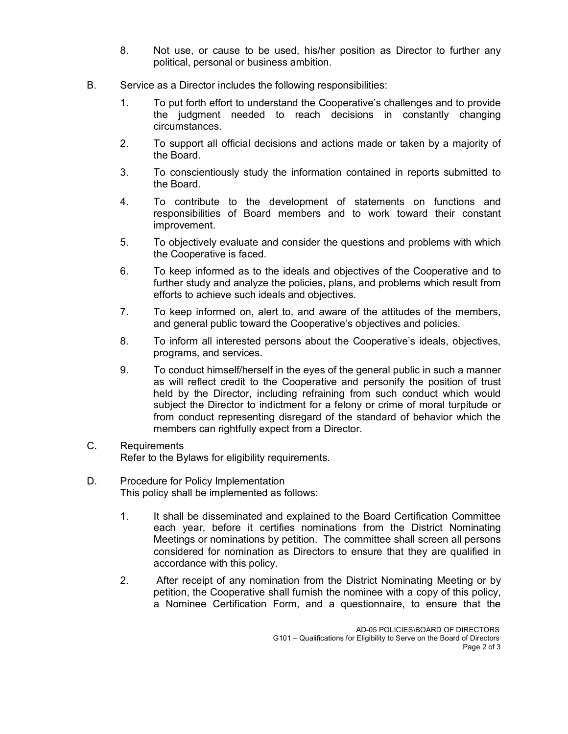- 8. Not use, or cause to be used, his/her position as Director to further any political, personal or business ambition.
- B. Service as a Director includes the following responsibilities:
	- 1. To put forth effort to understand the Cooperative's challenges and to provide the judgment needed to reach decisions in constantly changing circumstances.
	- 2. To support all official decisions and actions made or taken by a majority of the Board.
	- 3. To conscientiously study the information contained in reports submitted to the Board.
	- 4. To contribute to the development of statements on functions and responsibilities of Board members and to work toward their constant improvement.
	- 5. To objectively evaluate and consider the questions and problems with which the Cooperative is faced.
	- 6. To keep informed as to the ideals and objectives of the Cooperative and to further study and analyze the policies, plans, and problems which result from efforts to achieve such ideals and objectives.
	- 7. To keep informed on, alert to, and aware of the attitudes of the members, and general public toward the Cooperative's objectives and policies.
	- 8. To inform all interested persons about the Cooperative's ideals, objectives, programs, and services.
	- 9. To conduct himself/herself in the eyes of the general public in such a manner as will reflect credit to the Cooperative and personify the position of trust held by the Director, including refraining from such conduct which would subject the Director to indictment for a felony or crime of moral turpitude or from conduct representing disregard of the standard of behavior which the members can rightfully expect from a Director.
- C. Requirements Refer to the Bylaws for eligibility requirements.
- D. Procedure for Policy Implementation This policy shall be implemented as follows:
	- 1. It shall be disseminated and explained to the Board Certification Committee each year, before it certifies nominations from the District Nominating Meetings or nominations by petition. The committee shall screen all persons considered for nomination as Directors to ensure that they are qualified in accordance with this policy.
	- 2. After receipt of any nomination from the District Nominating Meeting or by petition, the Cooperative shall furnish the nominee with a copy of this policy, a Nominee Certification Form, and a questionnaire, to ensure that the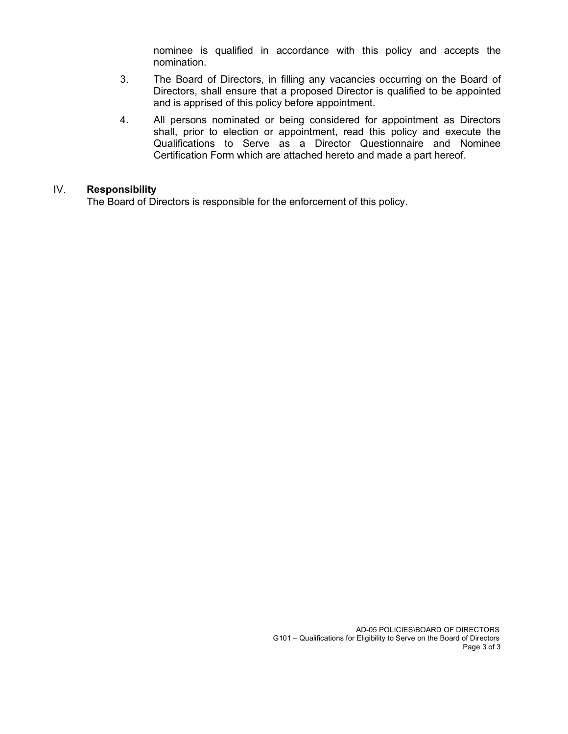nominee is qualified in accordance with this policy and accepts the nomination.

- 3. The Board of Directors, in filling any vacancies occurring on the Board of Directors, shall ensure that a proposed Director is qualified to be appointed and is apprised of this policy before appointment.
- 4. All persons nominated or being considered for appointment as Directors shall, prior to election or appointment, read this policy and execute the Qualifications to Serve as a Director Questionnaire and Nominee Certification Form which are attached hereto and made a part hereof.

#### IV. **Responsibility**

The Board of Directors is responsible for the enforcement of this policy.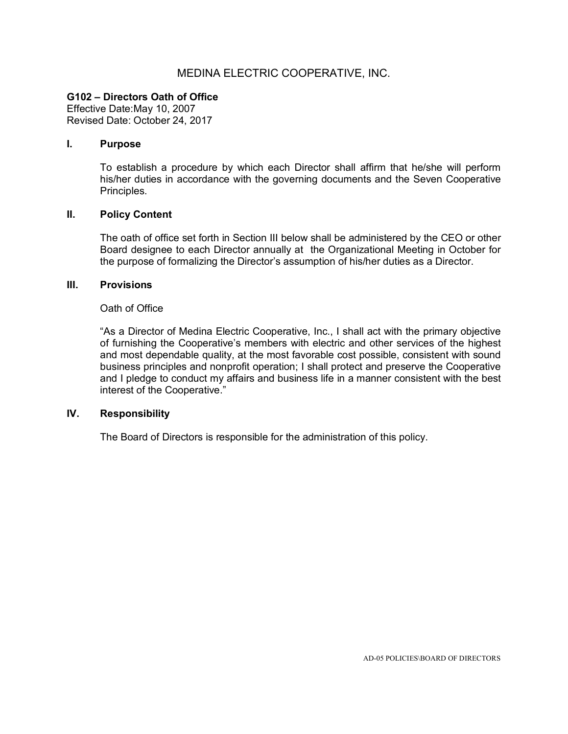## **G102 – Directors Oath of Office**

Effective Date:May 10, 2007 Revised Date: October 24, 2017

### **I. Purpose**

To establish a procedure by which each Director shall affirm that he/she will perform his/her duties in accordance with the governing documents and the Seven Cooperative Principles.

### **II. Policy Content**

The oath of office set forth in Section III below shall be administered by the CEO or other Board designee to each Director annually at the Organizational Meeting in October for the purpose of formalizing the Director's assumption of his/her duties as a Director.

#### **III. Provisions**

### Oath of Office

"As a Director of Medina Electric Cooperative, Inc., I shall act with the primary objective of furnishing the Cooperative's members with electric and other services of the highest and most dependable quality, at the most favorable cost possible, consistent with sound business principles and nonprofit operation; I shall protect and preserve the Cooperative and I pledge to conduct my affairs and business life in a manner consistent with the best interest of the Cooperative."

#### **IV. Responsibility**

The Board of Directors is responsible for the administration of this policy.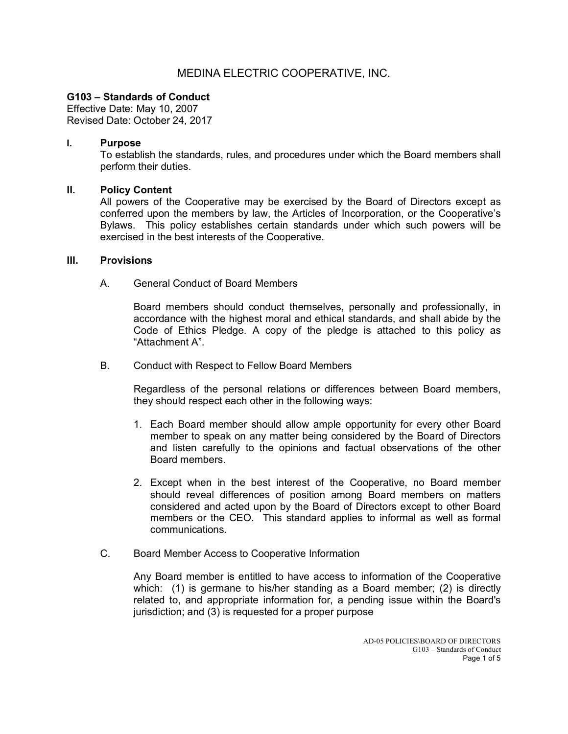# **G103 – Standards of Conduct**

Effective Date: May 10, 2007 Revised Date: October 24, 2017

### **I. Purpose**

To establish the standards, rules, and procedures under which the Board members shall perform their duties.

### **II. Policy Content**

All powers of the Cooperative may be exercised by the Board of Directors except as conferred upon the members by law, the Articles of Incorporation, or the Cooperative's Bylaws. This policy establishes certain standards under which such powers will be exercised in the best interests of the Cooperative.

#### **III. Provisions**

A. General Conduct of Board Members

Board members should conduct themselves, personally and professionally, in accordance with the highest moral and ethical standards, and shall abide by the Code of Ethics Pledge. A copy of the pledge is attached to this policy as "Attachment A".

B. Conduct with Respect to Fellow Board Members

Regardless of the personal relations or differences between Board members, they should respect each other in the following ways:

- 1. Each Board member should allow ample opportunity for every other Board member to speak on any matter being considered by the Board of Directors and listen carefully to the opinions and factual observations of the other Board members.
- 2. Except when in the best interest of the Cooperative, no Board member should reveal differences of position among Board members on matters considered and acted upon by the Board of Directors except to other Board members or the CEO. This standard applies to informal as well as formal communications.
- C. Board Member Access to Cooperative Information

Any Board member is entitled to have access to information of the Cooperative which: (1) is germane to his/her standing as a Board member; (2) is directly related to, and appropriate information for, a pending issue within the Board's jurisdiction; and (3) is requested for a proper purpose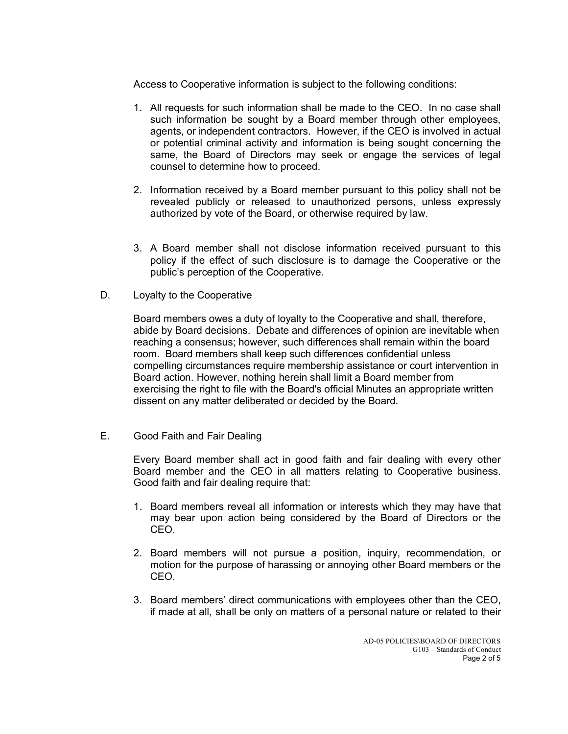Access to Cooperative information is subject to the following conditions:

- 1. All requests for such information shall be made to the CEO. In no case shall such information be sought by a Board member through other employees, agents, or independent contractors. However, if the CEO is involved in actual or potential criminal activity and information is being sought concerning the same, the Board of Directors may seek or engage the services of legal counsel to determine how to proceed.
- 2. Information received by a Board member pursuant to this policy shall not be revealed publicly or released to unauthorized persons, unless expressly authorized by vote of the Board, or otherwise required by law.
- 3. A Board member shall not disclose information received pursuant to this policy if the effect of such disclosure is to damage the Cooperative or the public's perception of the Cooperative.
- D. Loyalty to the Cooperative

Board members owes a duty of loyalty to the Cooperative and shall, therefore, abide by Board decisions. Debate and differences of opinion are inevitable when reaching a consensus; however, such differences shall remain within the board room. Board members shall keep such differences confidential unless compelling circumstances require membership assistance or court intervention in Board action. However, nothing herein shall limit a Board member from exercising the right to file with the Board's official Minutes an appropriate written dissent on any matter deliberated or decided by the Board.

E. Good Faith and Fair Dealing

Every Board member shall act in good faith and fair dealing with every other Board member and the CEO in all matters relating to Cooperative business. Good faith and fair dealing require that:

- 1. Board members reveal all information or interests which they may have that may bear upon action being considered by the Board of Directors or the CEO.
- 2. Board members will not pursue a position, inquiry, recommendation, or motion for the purpose of harassing or annoying other Board members or the CEO.
- 3. Board members' direct communications with employees other than the CEO, if made at all, shall be only on matters of a personal nature or related to their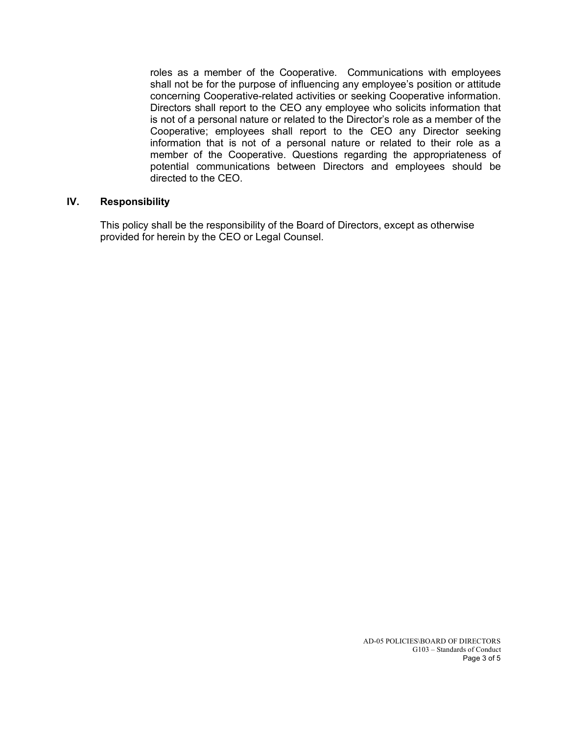roles as a member of the Cooperative. Communications with employees shall not be for the purpose of influencing any employee's position or attitude concerning Cooperative-related activities or seeking Cooperative information. Directors shall report to the CEO any employee who solicits information that is not of a personal nature or related to the Director's role as a member of the Cooperative; employees shall report to the CEO any Director seeking information that is not of a personal nature or related to their role as a member of the Cooperative. Questions regarding the appropriateness of potential communications between Directors and employees should be directed to the CEO.

#### **IV. Responsibility**

This policy shall be the responsibility of the Board of Directors, except as otherwise provided for herein by the CEO or Legal Counsel.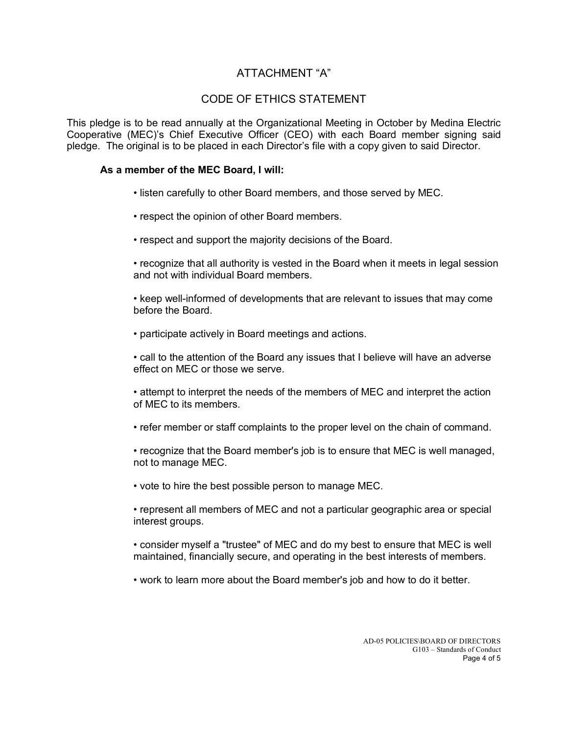# ATTACHMENT "A"

# CODE OF ETHICS STATEMENT

This pledge is to be read annually at the Organizational Meeting in October by Medina Electric Cooperative (MEC)'s Chief Executive Officer (CEO) with each Board member signing said pledge. The original is to be placed in each Director's file with a copy given to said Director.

#### **As a member of the MEC Board, I will:**

- listen carefully to other Board members, and those served by MEC.
- respect the opinion of other Board members.
- respect and support the majority decisions of the Board.
- recognize that all authority is vested in the Board when it meets in legal session and not with individual Board members.
- keep well-informed of developments that are relevant to issues that may come before the Board.
- participate actively in Board meetings and actions.
- call to the attention of the Board any issues that I believe will have an adverse effect on MEC or those we serve.
- attempt to interpret the needs of the members of MEC and interpret the action of MEC to its members.
- refer member or staff complaints to the proper level on the chain of command.
- recognize that the Board member's job is to ensure that MEC is well managed, not to manage MEC.
- vote to hire the best possible person to manage MEC.
- represent all members of MEC and not a particular geographic area or special interest groups.
- consider myself a "trustee" of MEC and do my best to ensure that MEC is well maintained, financially secure, and operating in the best interests of members.
- work to learn more about the Board member's job and how to do it better.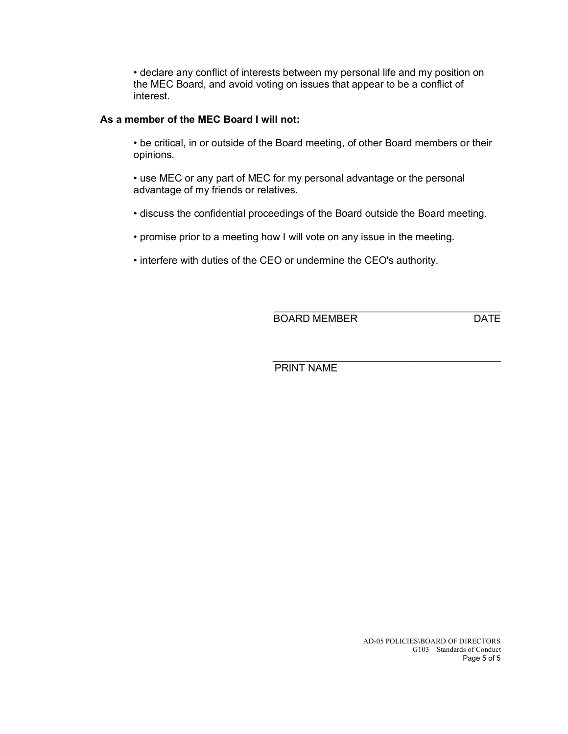• declare any conflict of interests between my personal life and my position on the MEC Board, and avoid voting on issues that appear to be a conflict of interest.

### **As a member of the MEC Board I will not:**

• be critical, in or outside of the Board meeting, of other Board members or their opinions.

• use MEC or any part of MEC for my personal advantage or the personal advantage of my friends or relatives.

- discuss the confidential proceedings of the Board outside the Board meeting.
- promise prior to a meeting how I will vote on any issue in the meeting.
- interfere with duties of the CEO or undermine the CEO's authority.

\_\_\_\_\_\_\_\_\_\_\_\_\_\_\_\_\_\_\_\_\_\_\_\_\_\_\_\_\_\_\_\_\_\_\_\_\_\_\_\_ BOARD MEMBER DATE

 $\mathcal{L}_\mathcal{L}$  , and the set of the set of the set of the set of the set of the set of the set of the set of the set of the set of the set of the set of the set of the set of the set of the set of the set of the set of th PRINT NAME

> AD-05 POLICIES\BOARD OF DIRECTORS G103 – Standards of Conduct Page 5 of 5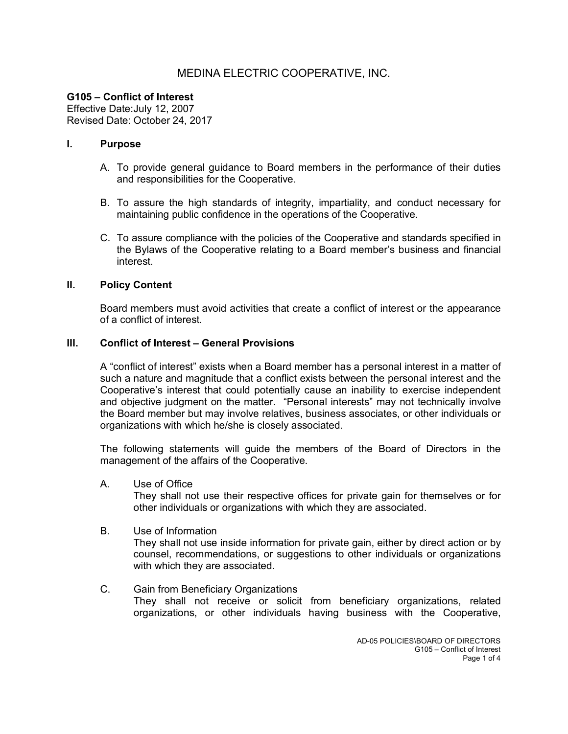# **G105 – Conflict of Interest**

Effective Date:July 12, 2007 Revised Date: October 24, 2017

## **I. Purpose**

- A. To provide general guidance to Board members in the performance of their duties and responsibilities for the Cooperative.
- B. To assure the high standards of integrity, impartiality, and conduct necessary for maintaining public confidence in the operations of the Cooperative.
- C. To assure compliance with the policies of the Cooperative and standards specified in the Bylaws of the Cooperative relating to a Board member's business and financial interest.

### **II. Policy Content**

Board members must avoid activities that create a conflict of interest or the appearance of a conflict of interest.

## **III. Conflict of Interest – General Provisions**

A "conflict of interest" exists when a Board member has a personal interest in a matter of such a nature and magnitude that a conflict exists between the personal interest and the Cooperative's interest that could potentially cause an inability to exercise independent and objective judgment on the matter. "Personal interests" may not technically involve the Board member but may involve relatives, business associates, or other individuals or organizations with which he/she is closely associated.

The following statements will guide the members of the Board of Directors in the management of the affairs of the Cooperative.

#### A. Use of Office

They shall not use their respective offices for private gain for themselves or for other individuals or organizations with which they are associated.

#### B. Use of Information

They shall not use inside information for private gain, either by direct action or by counsel, recommendations, or suggestions to other individuals or organizations with which they are associated.

#### C. Gain from Beneficiary Organizations They shall not receive or solicit from beneficiary organizations, related organizations, or other individuals having business with the Cooperative,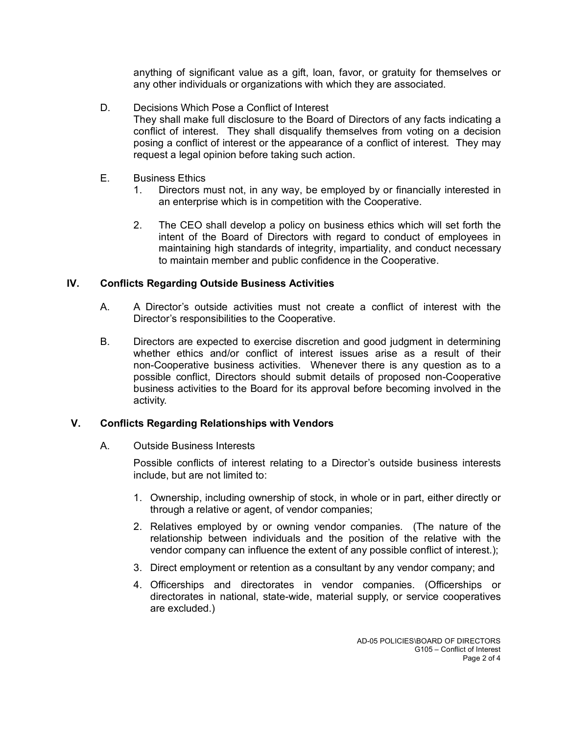anything of significant value as a gift, loan, favor, or gratuity for themselves or any other individuals or organizations with which they are associated.

## D. Decisions Which Pose a Conflict of Interest

They shall make full disclosure to the Board of Directors of any facts indicating a conflict of interest. They shall disqualify themselves from voting on a decision posing a conflict of interest or the appearance of a conflict of interest. They may request a legal opinion before taking such action.

## E. Business Ethics

- 1. Directors must not, in any way, be employed by or financially interested in an enterprise which is in competition with the Cooperative.
- 2. The CEO shall develop a policy on business ethics which will set forth the intent of the Board of Directors with regard to conduct of employees in maintaining high standards of integrity, impartiality, and conduct necessary to maintain member and public confidence in the Cooperative.

## **IV. Conflicts Regarding Outside Business Activities**

- A. A Director's outside activities must not create a conflict of interest with the Director's responsibilities to the Cooperative.
- B. Directors are expected to exercise discretion and good judgment in determining whether ethics and/or conflict of interest issues arise as a result of their non-Cooperative business activities. Whenever there is any question as to a possible conflict, Directors should submit details of proposed non-Cooperative business activities to the Board for its approval before becoming involved in the activity.

# **V. Conflicts Regarding Relationships with Vendors**

A. Outside Business Interests

Possible conflicts of interest relating to a Director's outside business interests include, but are not limited to:

- 1. Ownership, including ownership of stock, in whole or in part, either directly or through a relative or agent, of vendor companies;
- 2. Relatives employed by or owning vendor companies. (The nature of the relationship between individuals and the position of the relative with the vendor company can influence the extent of any possible conflict of interest.);
- 3. Direct employment or retention as a consultant by any vendor company; and
- 4. Officerships and directorates in vendor companies. (Officerships or directorates in national, state-wide, material supply, or service cooperatives are excluded.)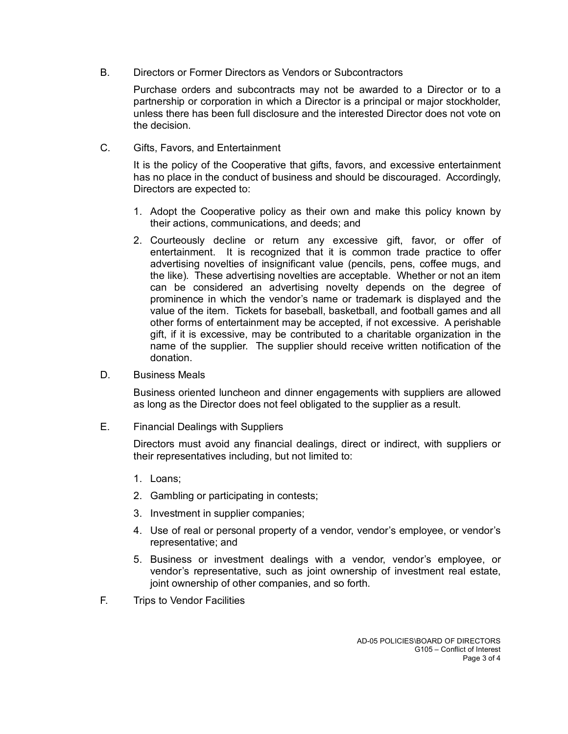B. Directors or Former Directors as Vendors or Subcontractors

Purchase orders and subcontracts may not be awarded to a Director or to a partnership or corporation in which a Director is a principal or major stockholder, unless there has been full disclosure and the interested Director does not vote on the decision.

C. Gifts, Favors, and Entertainment

It is the policy of the Cooperative that gifts, favors, and excessive entertainment has no place in the conduct of business and should be discouraged. Accordingly, Directors are expected to:

- 1. Adopt the Cooperative policy as their own and make this policy known by their actions, communications, and deeds; and
- 2. Courteously decline or return any excessive gift, favor, or offer of entertainment. It is recognized that it is common trade practice to offer advertising novelties of insignificant value (pencils, pens, coffee mugs, and the like). These advertising novelties are acceptable. Whether or not an item can be considered an advertising novelty depends on the degree of prominence in which the vendor's name or trademark is displayed and the value of the item. Tickets for baseball, basketball, and football games and all other forms of entertainment may be accepted, if not excessive. A perishable gift, if it is excessive, may be contributed to a charitable organization in the name of the supplier. The supplier should receive written notification of the donation.
- D. Business Meals

Business oriented luncheon and dinner engagements with suppliers are allowed as long as the Director does not feel obligated to the supplier as a result.

E. Financial Dealings with Suppliers

Directors must avoid any financial dealings, direct or indirect, with suppliers or their representatives including, but not limited to:

- 1. Loans;
- 2. Gambling or participating in contests;
- 3. Investment in supplier companies;
- 4. Use of real or personal property of a vendor, vendor's employee, or vendor's representative; and
- 5. Business or investment dealings with a vendor, vendor's employee, or vendor's representative, such as joint ownership of investment real estate, joint ownership of other companies, and so forth.
- F. Trips to Vendor Facilities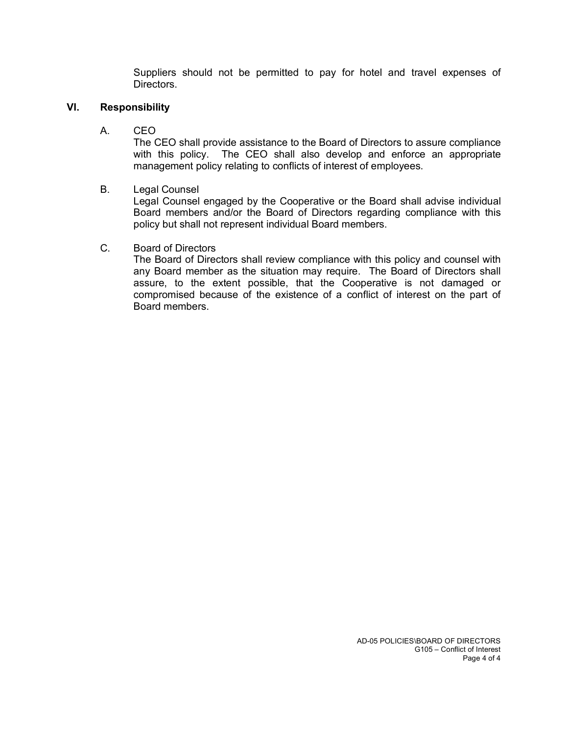Suppliers should not be permitted to pay for hotel and travel expenses of Directors.

## **VI. Responsibility**

A. CEO

The CEO shall provide assistance to the Board of Directors to assure compliance with this policy. The CEO shall also develop and enforce an appropriate management policy relating to conflicts of interest of employees.

#### B. Legal Counsel

Legal Counsel engaged by the Cooperative or the Board shall advise individual Board members and/or the Board of Directors regarding compliance with this policy but shall not represent individual Board members.

#### C. Board of Directors

The Board of Directors shall review compliance with this policy and counsel with any Board member as the situation may require. The Board of Directors shall assure, to the extent possible, that the Cooperative is not damaged or compromised because of the existence of a conflict of interest on the part of Board members.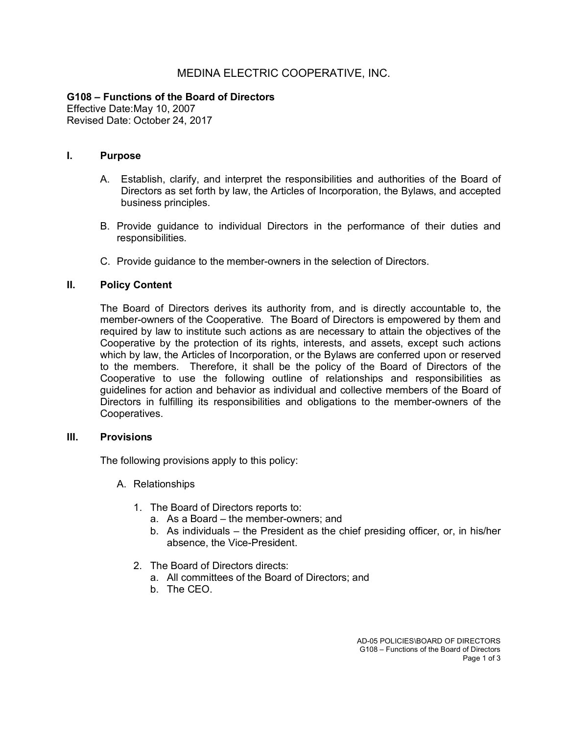**G108 – Functions of the Board of Directors** Effective Date:May 10, 2007 Revised Date: October 24, 2017

#### **I. Purpose**

- A. Establish, clarify, and interpret the responsibilities and authorities of the Board of Directors as set forth by law, the Articles of Incorporation, the Bylaws, and accepted business principles.
- B. Provide guidance to individual Directors in the performance of their duties and responsibilities.
- C. Provide guidance to the member-owners in the selection of Directors.

### **II. Policy Content**

The Board of Directors derives its authority from, and is directly accountable to, the member-owners of the Cooperative. The Board of Directors is empowered by them and required by law to institute such actions as are necessary to attain the objectives of the Cooperative by the protection of its rights, interests, and assets, except such actions which by law, the Articles of Incorporation, or the Bylaws are conferred upon or reserved to the members. Therefore, it shall be the policy of the Board of Directors of the Cooperative to use the following outline of relationships and responsibilities as guidelines for action and behavior as individual and collective members of the Board of Directors in fulfilling its responsibilities and obligations to the member-owners of the Cooperatives.

#### **III. Provisions**

The following provisions apply to this policy:

- A. Relationships
	- 1. The Board of Directors reports to:
		- a. As a Board the member-owners; and
		- b. As individuals the President as the chief presiding officer, or, in his/her absence, the Vice-President.
	- 2. The Board of Directors directs:
		- a. All committees of the Board of Directors; and
		- b. The CEO.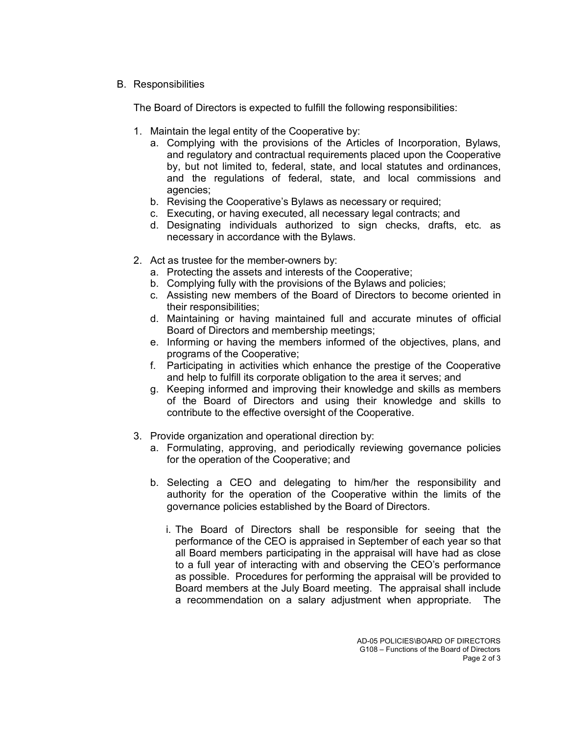B. Responsibilities

The Board of Directors is expected to fulfill the following responsibilities:

- 1. Maintain the legal entity of the Cooperative by:
	- a. Complying with the provisions of the Articles of Incorporation, Bylaws, and regulatory and contractual requirements placed upon the Cooperative by, but not limited to, federal, state, and local statutes and ordinances, and the regulations of federal, state, and local commissions and agencies;
	- b. Revising the Cooperative's Bylaws as necessary or required;
	- c. Executing, or having executed, all necessary legal contracts; and
	- d. Designating individuals authorized to sign checks, drafts, etc. as necessary in accordance with the Bylaws.
- 2. Act as trustee for the member-owners by:
	- a. Protecting the assets and interests of the Cooperative;
	- b. Complying fully with the provisions of the Bylaws and policies;
	- c. Assisting new members of the Board of Directors to become oriented in their responsibilities;
	- d. Maintaining or having maintained full and accurate minutes of official Board of Directors and membership meetings;
	- e. Informing or having the members informed of the objectives, plans, and programs of the Cooperative;
	- f. Participating in activities which enhance the prestige of the Cooperative and help to fulfill its corporate obligation to the area it serves; and
	- g. Keeping informed and improving their knowledge and skills as members of the Board of Directors and using their knowledge and skills to contribute to the effective oversight of the Cooperative.
- 3. Provide organization and operational direction by:
	- a. Formulating, approving, and periodically reviewing governance policies for the operation of the Cooperative; and
	- b. Selecting a CEO and delegating to him/her the responsibility and authority for the operation of the Cooperative within the limits of the governance policies established by the Board of Directors.
		- i. The Board of Directors shall be responsible for seeing that the performance of the CEO is appraised in September of each year so that all Board members participating in the appraisal will have had as close to a full year of interacting with and observing the CEO's performance as possible. Procedures for performing the appraisal will be provided to Board members at the July Board meeting. The appraisal shall include a recommendation on a salary adjustment when appropriate. The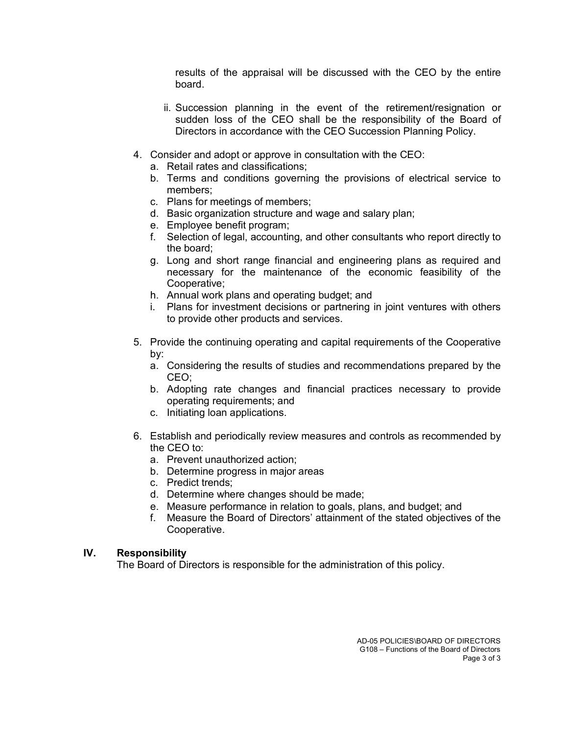results of the appraisal will be discussed with the CEO by the entire board.

- ii. Succession planning in the event of the retirement/resignation or sudden loss of the CEO shall be the responsibility of the Board of Directors in accordance with the CEO Succession Planning Policy.
- 4. Consider and adopt or approve in consultation with the CEO:
	- a. Retail rates and classifications;
	- b. Terms and conditions governing the provisions of electrical service to members;
	- c. Plans for meetings of members;
	- d. Basic organization structure and wage and salary plan;
	- e. Employee benefit program;
	- f. Selection of legal, accounting, and other consultants who report directly to the board;
	- g. Long and short range financial and engineering plans as required and necessary for the maintenance of the economic feasibility of the Cooperative;
	- h. Annual work plans and operating budget; and
	- i. Plans for investment decisions or partnering in joint ventures with others to provide other products and services.
- 5. Provide the continuing operating and capital requirements of the Cooperative by:
	- a. Considering the results of studies and recommendations prepared by the CEO;
	- b. Adopting rate changes and financial practices necessary to provide operating requirements; and
	- c. Initiating loan applications.
- 6. Establish and periodically review measures and controls as recommended by the CEO to:
	- a. Prevent unauthorized action;
	- b. Determine progress in major areas
	- c. Predict trends;
	- d. Determine where changes should be made;
	- e. Measure performance in relation to goals, plans, and budget; and
	- f. Measure the Board of Directors' attainment of the stated objectives of the Cooperative.

### **IV. Responsibility**

The Board of Directors is responsible for the administration of this policy.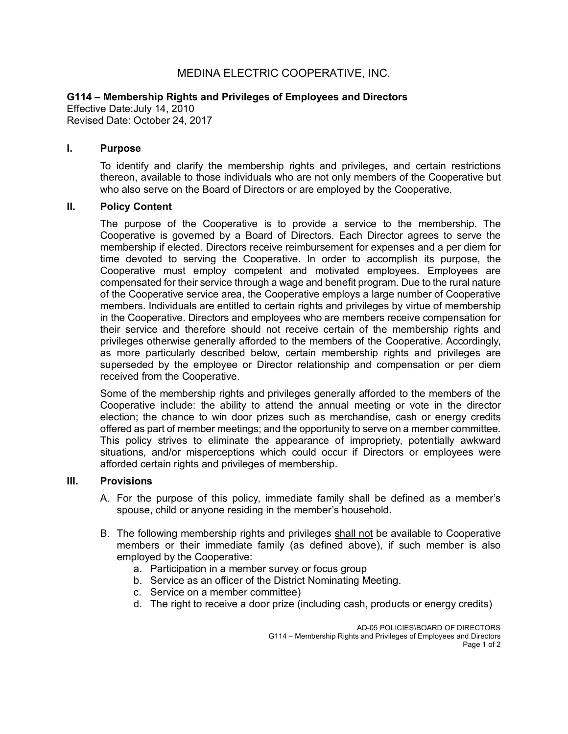#### **G114 – Membership Rights and Privileges of Employees and Directors** Effective Date:July 14, 2010

Revised Date: October 24, 2017

#### **I. Purpose**

To identify and clarify the membership rights and privileges, and certain restrictions thereon, available to those individuals who are not only members of the Cooperative but who also serve on the Board of Directors or are employed by the Cooperative.

#### **II. Policy Content**

The purpose of the Cooperative is to provide a service to the membership. The Cooperative is governed by a Board of Directors. Each Director agrees to serve the membership if elected. Directors receive reimbursement for expenses and a per diem for time devoted to serving the Cooperative. In order to accomplish its purpose, the Cooperative must employ competent and motivated employees. Employees are compensated for their service through a wage and benefit program. Due to the rural nature of the Cooperative service area, the Cooperative employs a large number of Cooperative members. Individuals are entitled to certain rights and privileges by virtue of membership in the Cooperative. Directors and employees who are members receive compensation for their service and therefore should not receive certain of the membership rights and privileges otherwise generally afforded to the members of the Cooperative. Accordingly, as more particularly described below, certain membership rights and privileges are superseded by the employee or Director relationship and compensation or per diem received from the Cooperative.

Some of the membership rights and privileges generally afforded to the members of the Cooperative include: the ability to attend the annual meeting or vote in the director election; the chance to win door prizes such as merchandise, cash or energy credits offered as part of member meetings; and the opportunity to serve on a member committee. This policy strives to eliminate the appearance of impropriety, potentially awkward situations, and/or misperceptions which could occur if Directors or employees were afforded certain rights and privileges of membership.

#### **III. Provisions**

- A. For the purpose of this policy, immediate family shall be defined as a member's spouse, child or anyone residing in the member's household.
- B. The following membership rights and privileges shall not be available to Cooperative members or their immediate family (as defined above), if such member is also employed by the Cooperative:
	- a. Participation in a member survey or focus group
	- b. Service as an officer of the District Nominating Meeting.
	- c. Service on a member committee)
	- d. The right to receive a door prize (including cash, products or energy credits)